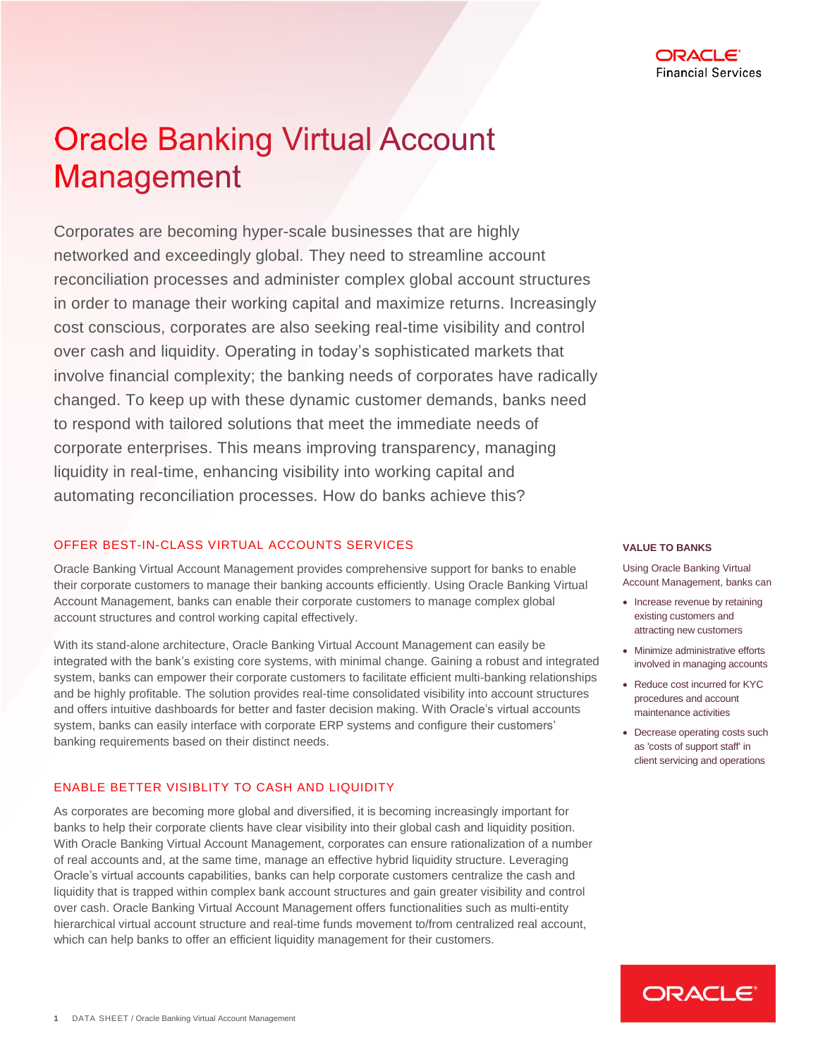

# **Oracle Banking Virtual Account Management**

Corporates are becoming hyper-scale businesses that are highly networked and exceedingly global. They need to streamline account reconciliation processes and administer complex global account structures in order to manage their working capital and maximize returns. Increasingly cost conscious, corporates are also seeking real-time visibility and control over cash and liquidity. Operating in today's sophisticated markets that involve financial complexity; the banking needs of corporates have radically changed. To keep up with these dynamic customer demands, banks need to respond with tailored solutions that meet the immediate needs of corporate enterprises. This means improving transparency, managing liquidity in real-time, enhancing visibility into working capital and automating reconciliation processes. How do banks achieve this?

# OFFER BEST-IN-CLASS VIRTUAL ACCOUNTS SERVICES

Oracle Banking Virtual Account Management provides comprehensive support for banks to enable their corporate customers to manage their banking accounts efficiently. Using Oracle Banking Virtual Account Management, banks can enable their corporate customers to manage complex global account structures and control working capital effectively.

With its stand-alone architecture, Oracle Banking Virtual Account Management can easily be integrated with the bank's existing core systems, with minimal change. Gaining a robust and integrated system, banks can empower their corporate customers to facilitate efficient multi-banking relationships and be highly profitable. The solution provides real-time consolidated visibility into account structures and offers intuitive dashboards for better and faster decision making. With Oracle's virtual accounts system, banks can easily interface with corporate ERP systems and configure their customers' banking requirements based on their distinct needs.

#### ENABLE BETTER VISIBLITY TO CASH AND LIQUIDITY

As corporates are becoming more global and diversified, it is becoming increasingly important for banks to help their corporate clients have clear visibility into their global cash and liquidity position. With Oracle Banking Virtual Account Management, corporates can ensure rationalization of a number of real accounts and, at the same time, manage an effective hybrid liquidity structure. Leveraging Oracle's virtual accounts capabilities, banks can help corporate customers centralize the cash and liquidity that is trapped within complex bank account structures and gain greater visibility and control over cash. Oracle Banking Virtual Account Management offers functionalities such as multi-entity hierarchical virtual account structure and real-time funds movement to/from centralized real account, which can help banks to offer an efficient liquidity management for their customers.

#### **VALUE TO BANKS**

Using Oracle Banking Virtual Account Management, banks can

- Increase revenue by retaining existing customers and attracting new customers
- Minimize administrative efforts involved in managing accounts
- Reduce cost incurred for KYC procedures and account maintenance activities
- Decrease operating costs such as 'costs of support staff' in client servicing and operations

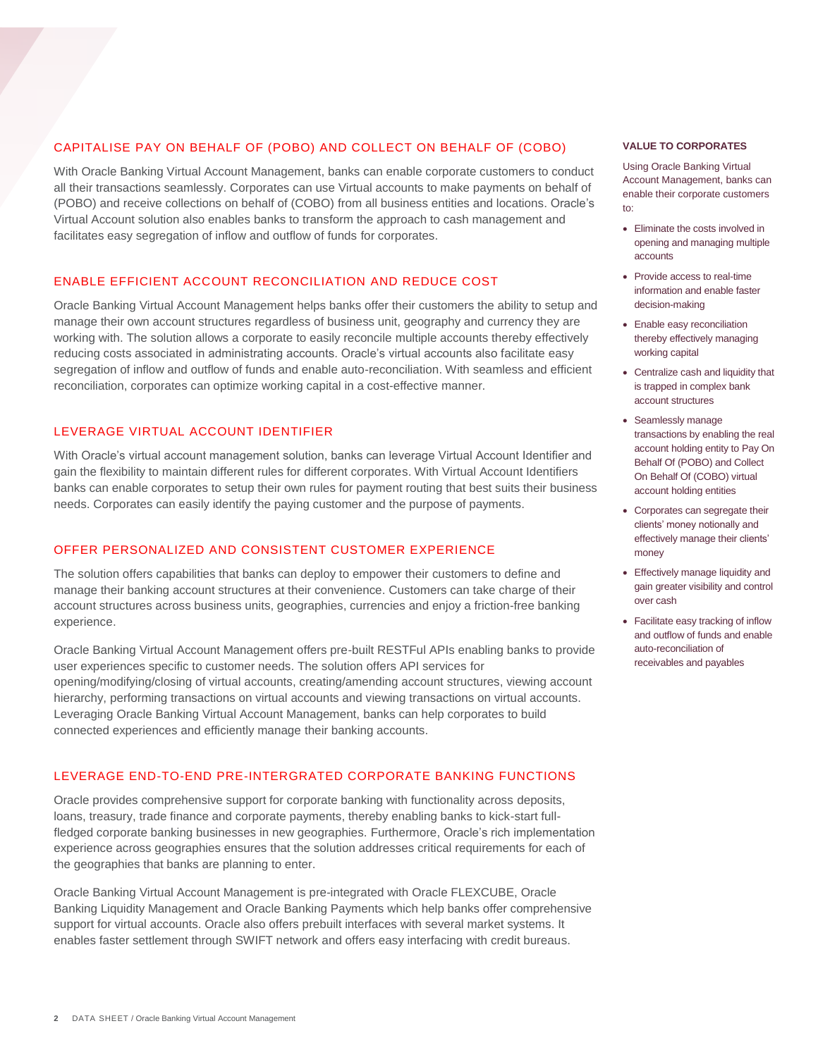#### CAPITALISE PAY ON BEHALF OF (POBO) AND COLLECT ON BEHALF OF (COBO)

With Oracle Banking Virtual Account Management, banks can enable corporate customers to conduct all their transactions seamlessly. Corporates can use Virtual accounts to make payments on behalf of (POBO) and receive collections on behalf of (COBO) from all business entities and locations. Oracle's Virtual Account solution also enables banks to transform the approach to cash management and facilitates easy segregation of inflow and outflow of funds for corporates.

#### ENABLE EFFICIENT ACCOUNT RECONCILIATION AND REDUCE COST

Oracle Banking Virtual Account Management helps banks offer their customers the ability to setup and manage their own account structures regardless of business unit, geography and currency they are working with. The solution allows a corporate to easily reconcile multiple accounts thereby effectively reducing costs associated in administrating accounts. Oracle's virtual accounts also facilitate easy segregation of inflow and outflow of funds and enable auto-reconciliation. With seamless and efficient reconciliation, corporates can optimize working capital in a cost-effective manner.

#### LEVERAGE VIRTUAL ACCOUNT IDENTIFIER

With Oracle's virtual account management solution, banks can leverage Virtual Account Identifier and gain the flexibility to maintain different rules for different corporates. With Virtual Account Identifiers banks can enable corporates to setup their own rules for payment routing that best suits their business needs. Corporates can easily identify the paying customer and the purpose of payments.

## OFFER PERSONALIZED AND CONSISTENT CUSTOMER EXPERIENCE

The solution offers capabilities that banks can deploy to empower their customers to define and manage their banking account structures at their convenience. Customers can take charge of their account structures across business units, geographies, currencies and enjoy a friction-free banking experience.

Oracle Banking Virtual Account Management offers pre-built RESTFul APIs enabling banks to provide user experiences specific to customer needs. The solution offers API services for opening/modifying/closing of virtual accounts, creating/amending account structures, viewing account hierarchy, performing transactions on virtual accounts and viewing transactions on virtual accounts. Leveraging Oracle Banking Virtual Account Management, banks can help corporates to build connected experiences and efficiently manage their banking accounts.

## LEVERAGE END-TO-END PRE-INTERGRATED CORPORATE BANKING FUNCTIONS

Oracle provides comprehensive support for corporate banking with functionality across deposits, loans, treasury, trade finance and corporate payments, thereby enabling banks to kick-start fullfledged corporate banking businesses in new geographies. Furthermore, Oracle's rich implementation experience across geographies ensures that the solution addresses critical requirements for each of the geographies that banks are planning to enter.

Oracle Banking Virtual Account Management is pre-integrated with Oracle FLEXCUBE, Oracle Banking Liquidity Management and Oracle Banking Payments which help banks offer comprehensive support for virtual accounts. Oracle also offers prebuilt interfaces with several market systems. It enables faster settlement through SWIFT network and offers easy interfacing with credit bureaus.

#### **VALUE TO CORPORATES**

Using Oracle Banking Virtual Account Management, banks can enable their corporate customers to:

- Eliminate the costs involved in opening and managing multiple accounts
- Provide access to real-time information and enable faster decision-making
- Enable easy reconciliation thereby effectively managing working capital
- Centralize cash and liquidity that is trapped in complex bank account structures
- Seamlessly manage transactions by enabling the real account holding entity to Pay On Behalf Of (POBO) and Collect On Behalf Of (COBO) virtual account holding entities
- Corporates can segregate their clients' money notionally and effectively manage their clients' money
- Effectively manage liquidity and gain greater visibility and control over cash
- Facilitate easy tracking of inflow and outflow of funds and enable auto-reconciliation of receivables and payables